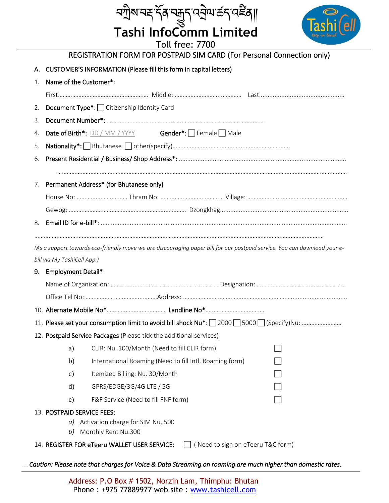|                                                                                                               | <i>ॸ</i> ॻॏ॒ॺॱॺॾॱॸॣ॔ॺऺॱॺऀ॔ॺऀॷॣॖॖॸ॔ॱॳॷॴॷॴॷॴॴ                                                                               |  |  |  |  |  |  |  |  |
|---------------------------------------------------------------------------------------------------------------|---------------------------------------------------------------------------------------------------------------------------|--|--|--|--|--|--|--|--|
|                                                                                                               | <b>Tashi InfoComm Limited</b>                                                                                             |  |  |  |  |  |  |  |  |
| <b>Toll free: 7700</b>                                                                                        |                                                                                                                           |  |  |  |  |  |  |  |  |
|                                                                                                               | REGISTRATION FORM FOR POSTPAID SIM CARD (For Personal Connection only)                                                    |  |  |  |  |  |  |  |  |
|                                                                                                               | CUSTOMER'S INFORMATION (Please fill this form in capital letters)                                                         |  |  |  |  |  |  |  |  |
| 1.                                                                                                            | Name of the Customer*:                                                                                                    |  |  |  |  |  |  |  |  |
|                                                                                                               |                                                                                                                           |  |  |  |  |  |  |  |  |
| 2.                                                                                                            | Document Type*: Citizenship Identity Card                                                                                 |  |  |  |  |  |  |  |  |
| 3.                                                                                                            |                                                                                                                           |  |  |  |  |  |  |  |  |
| 4.                                                                                                            | <b>Date of Birth*:</b> DD / MM / YYYY <b>Gender*:</b> Female Male                                                         |  |  |  |  |  |  |  |  |
| 5.                                                                                                            |                                                                                                                           |  |  |  |  |  |  |  |  |
| 6.                                                                                                            |                                                                                                                           |  |  |  |  |  |  |  |  |
| $\sqrt{2}$                                                                                                    | Permanent Address* (for Bhutanese only)                                                                                   |  |  |  |  |  |  |  |  |
|                                                                                                               |                                                                                                                           |  |  |  |  |  |  |  |  |
|                                                                                                               |                                                                                                                           |  |  |  |  |  |  |  |  |
| 8.                                                                                                            |                                                                                                                           |  |  |  |  |  |  |  |  |
|                                                                                                               |                                                                                                                           |  |  |  |  |  |  |  |  |
|                                                                                                               | (As a support towards eco-friendly move we are discouraging paper bill for our postpaid service. You can download your e- |  |  |  |  |  |  |  |  |
|                                                                                                               | bill via My TashiCell App.)                                                                                               |  |  |  |  |  |  |  |  |
| 9.                                                                                                            | <b>Employment Detail*</b>                                                                                                 |  |  |  |  |  |  |  |  |
|                                                                                                               |                                                                                                                           |  |  |  |  |  |  |  |  |
|                                                                                                               |                                                                                                                           |  |  |  |  |  |  |  |  |
|                                                                                                               |                                                                                                                           |  |  |  |  |  |  |  |  |
|                                                                                                               |                                                                                                                           |  |  |  |  |  |  |  |  |
|                                                                                                               | 12. Postpaid Service Packages (Please tick the additional services)                                                       |  |  |  |  |  |  |  |  |
|                                                                                                               | CLIR: Nu. 100/Month (Need to fill CLIR form)<br>a)                                                                        |  |  |  |  |  |  |  |  |
|                                                                                                               | International Roaming (Need to fill Intl. Roaming form)<br>b)                                                             |  |  |  |  |  |  |  |  |
|                                                                                                               | Itemized Billing: Nu. 30/Month<br>c)                                                                                      |  |  |  |  |  |  |  |  |
|                                                                                                               | GPRS/EDGE/3G/4G LTE / 5G<br>d)                                                                                            |  |  |  |  |  |  |  |  |
|                                                                                                               | F&F Service (Need to fill FNF form)<br>e)                                                                                 |  |  |  |  |  |  |  |  |
|                                                                                                               | 13. POSTPAID SERVICE FEES:                                                                                                |  |  |  |  |  |  |  |  |
| a) Activation charge for SIM Nu. 500                                                                          |                                                                                                                           |  |  |  |  |  |  |  |  |
| Monthly Rent Nu.300<br>b)<br>14. REGISTER FOR eTeeru WALLET USER SERVICE:   (Need to sign on eTeeru T&C form) |                                                                                                                           |  |  |  |  |  |  |  |  |
|                                                                                                               |                                                                                                                           |  |  |  |  |  |  |  |  |

 *Caution: Please note that charges for Voice & Data Streaming on roaming are much higher than domestic rates.* 

Address: P.O Box # 1502, Norzin Lam, Thimphu: Bhutan Phone : +975 77889977 web site : www.tashicell.com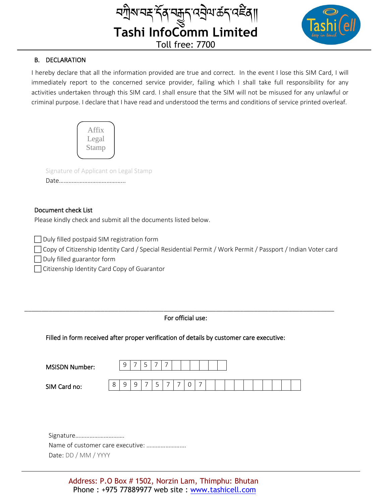

## B. DECLARATION

I hereby declare that all the information provided are true and correct. In the event I lose this SIM Card, I will immediately report to the concerned service provider, failing which I shall take full responsibility for any activities undertaken through this SIM card. I shall ensure that the SIM will not be misused for any unlawful or criminal purpose. I declare that I have read and understood the terms and conditions of service printed overleaf.

Affix Legal Stamp

Signature of Applicant on Legal Stamp

Date…………………………………...

### Document check List

Please kindly check and submit all the documents listed below.

Duly filled postpaid SIM registration form

Copy of Citizenship Identity Card / Special Residential Permit / Work Permit / Passport / Indian Voter card

Duly filled guarantor form

□ Citizenship Identity Card Copy of Guarantor

For official use:

\_\_\_\_\_\_\_\_\_\_\_\_\_\_\_\_\_\_\_\_\_\_\_\_\_\_\_\_\_\_\_\_\_\_\_\_\_\_\_\_\_\_\_\_\_\_\_\_\_\_\_\_\_\_\_\_\_\_\_\_\_\_\_\_\_\_\_\_\_\_\_\_\_\_\_\_\_\_\_\_\_\_\_\_\_\_\_\_\_

Filled in form received after proper verification of details by customer care executive:

| <b>MSISDN Number:</b> |   | a | -                          | سه | -  | - |  |  |  |  |  |  |  |
|-----------------------|---|---|----------------------------|----|----|---|--|--|--|--|--|--|--|
| SIM Card no:          | ັ |   | a<br>$\tilde{\phantom{a}}$ |    | سه |   |  |  |  |  |  |  |  |

Signature…………………………. Name of customer care executive: ……………………. Date: DD / MM / YYYY

> Address: P.O Box # 1502, Norzin Lam, Thimphu: Bhutan Phone : +975 77889977 web site : www.tashicell.com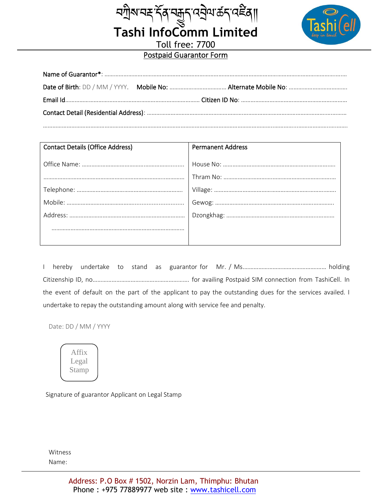

# Toll free: 7700 Postpaid Guarantor Form

ম্মীম'নহ'ৰ্ন্ত্ৰ্ম'ন্মনুন'ন্ইমাৰ্ট্ৰ্ম'ৰ্<sup>ই</sup>ৰ্||<br>Tashi InfoComm Limited

| <b>Contact Details (Office Address)</b> | <b>Permanent Address</b> |
|-----------------------------------------|--------------------------|
|                                         |                          |
|                                         |                          |
|                                         |                          |
|                                         |                          |
|                                         |                          |
|                                         |                          |
|                                         |                          |
|                                         |                          |

I hereby undertake to stand as guarantor for Mr. / Ms.……………………………………….…… holding Citizenship ID, no……………………………………………………. for availing Postpaid SIM connection from TashiCell. In the event of default on the part of the applicant to pay the outstanding dues for the services availed. I undertake to repay the outstanding amount along with service fee and penalty.

Date: DD / MM / YYYY



Signature of guarantor Applicant on Legal Stamp

Witness Name: